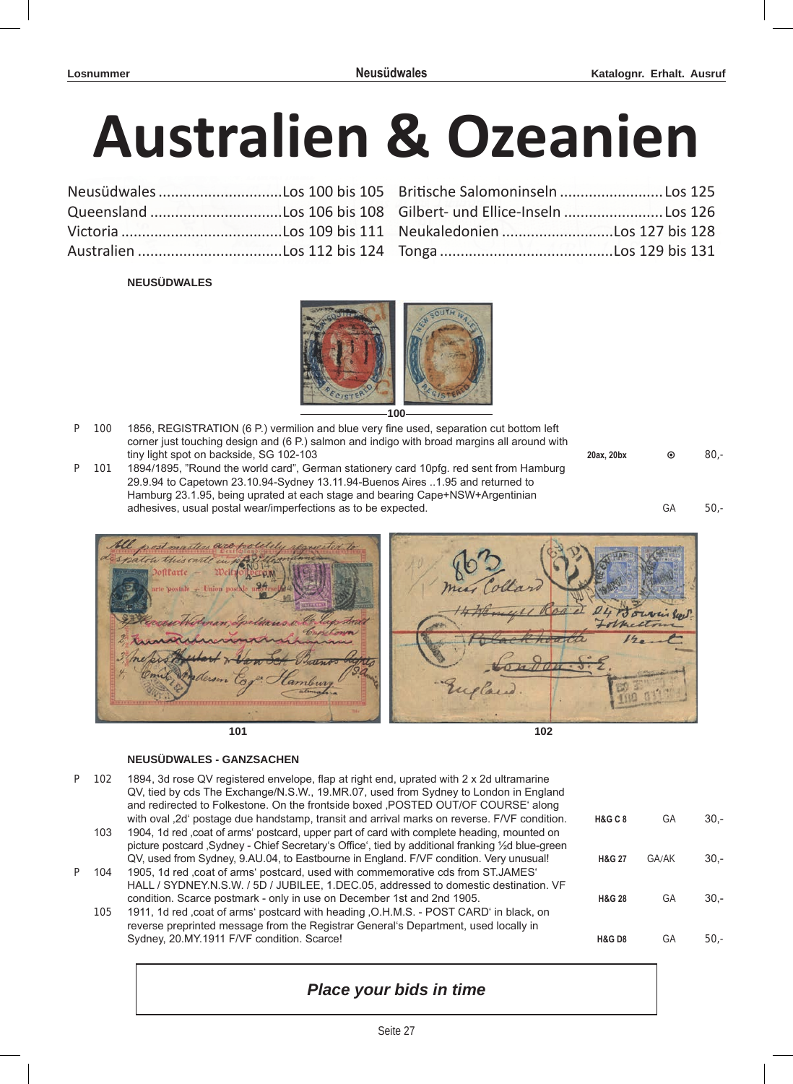# **Australien & Ozeanien**

### **NEUSÜDWALES**



**100**

- P 100 1856, REGISTRATION (6 P.) vermilion and blue very fine used, separation cut bottom left corner just touching design and (6 P.) salmon and indigo with broad margins all around with tiny light spot on backside, SG 102-103
- 101 1894/1895, "Round the world card", German stationery card 10pfg. red sent from Hamburg 29.9.94 to Capetown 23.10.94-Sydney 13.11.94-Buenos Aires ..1.95 and returned to Hamburg 23.1.95, being uprated at each stage and bearing Cape+NSW+Argentinian adhesives, usual postal wear/imperfections as to be expected. The contract of the state of the state of the state of the state of the state of the state of the state of the state of the state of the state of the state of t

| 20ax, 20bx | $\odot$ | $80 -$ |
|------------|---------|--------|
|            |         |        |
|            |         |        |





**NEUSÜDWALES - GANZSACHEN**

- P 102 1894, 3d rose QV registered envelope, flap at right end, uprated with 2 x 2d ultramarine QV, tied by cds The Exchange/N.S.W., 19.MR.07, used from Sydney to London in England and redirected to Folkestone. On the frontside boxed , POSTED OUT/OF COURSE' along with oval '2d' postage due handstamp, transit and arrival marks on reverse. F/VF condition. **H&G C 8** GA 30,- 103 1904, 1d red 'coat of arms' postcard, upper part of card with complete heading, mounted on
	- picture postcard , Sydney Chief Secretary's Office', tied by additional franking 1/2d blue-green QV, used from Sydney, 9.AU.04, to Eastbourne in England. F/VF condition. Very unusual! **H&G 27** GA/AK 30,- 104 1905, 1d red .coat of arms' postcard, used with commemorative cds from ST.JAMES'
	- HALL / SYDNEY.N.S.W. / 5D / JUBILEE, 1.DEC.05, addressed to domestic destination. VF condition. Scarce postmark - only in use on December 1st and 2nd 1905. **H&G 28** GA 30,-
		- 105 1911, 1d red ,coat of arms' postcard with heading , O.H.M.S. POST CARD' in black, on reverse preprinted message from the Registrar General's Department, used locally in Sydney, 20.MY.1911 F/VF condition. Scarce! **All any condition of the CONTEX CONTEX CONTEX CONTEX CONTEX CONTEX CONTEX CONTEX CONTEX CONTEX CONTEX CONTEX CONTEX CONTEX CONTEX CONTEX CONTEX CONTEX CONTEX CONTEX CONTEX CONTEX**



## *Place your bids in time*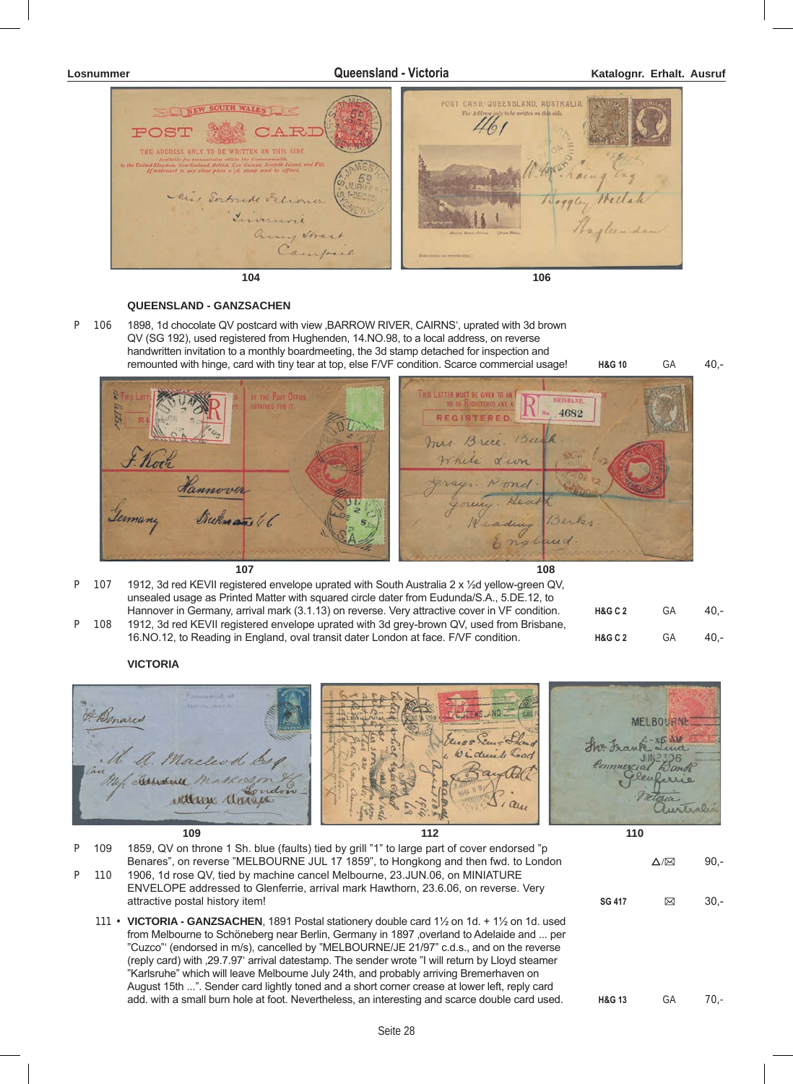



#### **QUEENSLAND - GANZSACHEN**

P 106 1898, 1d chocolate QV postcard with view , BARROW RIVER, CAIRNS', uprated with 3d brown QV (SG 192), used registered from Hughenden, 14.NO.98, to a local address, on reverse handwritten invitation to a monthly boardmeeting, the 3d stamp detached for inspection and remounted with hinge, card with tiny tear at top, else F/VF condition. Scarce commercial usage! **H&G 10** GA 40,-



|  | P 107 1912, 3d red KEVII registered envelope uprated with South Australia 2 x $\frac{1}{2}$ d yellow-green QV, |                    |      |     |
|--|----------------------------------------------------------------------------------------------------------------|--------------------|------|-----|
|  | unsealed usage as Printed Matter with squared circle dater from Eudunda/S.A., 5.DE.12, to                      |                    |      |     |
|  | Hannover in Germany, arrival mark (3.1.13) on reverse. Very attractive cover in VF condition.                  | <b>H&amp;G C 2</b> | - GA | 40. |
|  | D 108 1012 3d red KEVII registered envelope uprated with 3d grey-brown OV used from Brishane                   |                    |      |     |

108 1912, 3d red KEVII registered envelope uprated with 3d grey-brown QV, used from Brisbane, 16.NO.12, to Reading in England, oval transit dater London at face. F/VF condition. **H&G C 2** GA 40,-

### **VICTORIA**



| P 109 | 1859, QV on throne 1 Sh. blue (faults) tied by grill "1" to large part of cover endorsed "p<br>Benares", on reverse "MELBOURNE JUL 17 1859", to Hongkong and then fwd. to London                                                                                                                                                                                                                                                                                                                                                                                                                                                                                                                       |                   | $\Delta/\boxtimes$ | $90.-$ |
|-------|--------------------------------------------------------------------------------------------------------------------------------------------------------------------------------------------------------------------------------------------------------------------------------------------------------------------------------------------------------------------------------------------------------------------------------------------------------------------------------------------------------------------------------------------------------------------------------------------------------------------------------------------------------------------------------------------------------|-------------------|--------------------|--------|
| P 110 | 1906, 1d rose QV, tied by machine cancel Melbourne, 23. JUN.06, on MINIATURE<br>ENVELOPE addressed to Glenferrie, arrival mark Hawthorn, 23.6.06, on reverse. Very<br>attractive postal history item!                                                                                                                                                                                                                                                                                                                                                                                                                                                                                                  | <b>SG 417</b>     | ⊠                  | $30 -$ |
|       | 111 • VICTORIA - GANZSACHEN, 1891 Postal stationery double card $1\frac{1}{2}$ on 1d. + $1\frac{1}{2}$ on 1d. used<br>from Melbourne to Schöneberg near Berlin, Germany in 1897, overland to Adelaide and  per<br>"Cuzco" (endorsed in m/s), cancelled by "MELBOURNE/JE 21/97" c.d.s., and on the reverse<br>(reply card) with 29.7.97 arrival datestamp. The sender wrote "I will return by Lloyd steamer<br>"Karlsruhe" which will leave Melbourne July 24th, and probably arriving Bremerhaven on<br>August 15th ". Sender card lightly toned and a short corner crease at lower left, reply card<br>add. with a small burn hole at foot. Nevertheless, an interesting and scarce double card used. | <b>H&amp;G 13</b> | GА                 | 70.-   |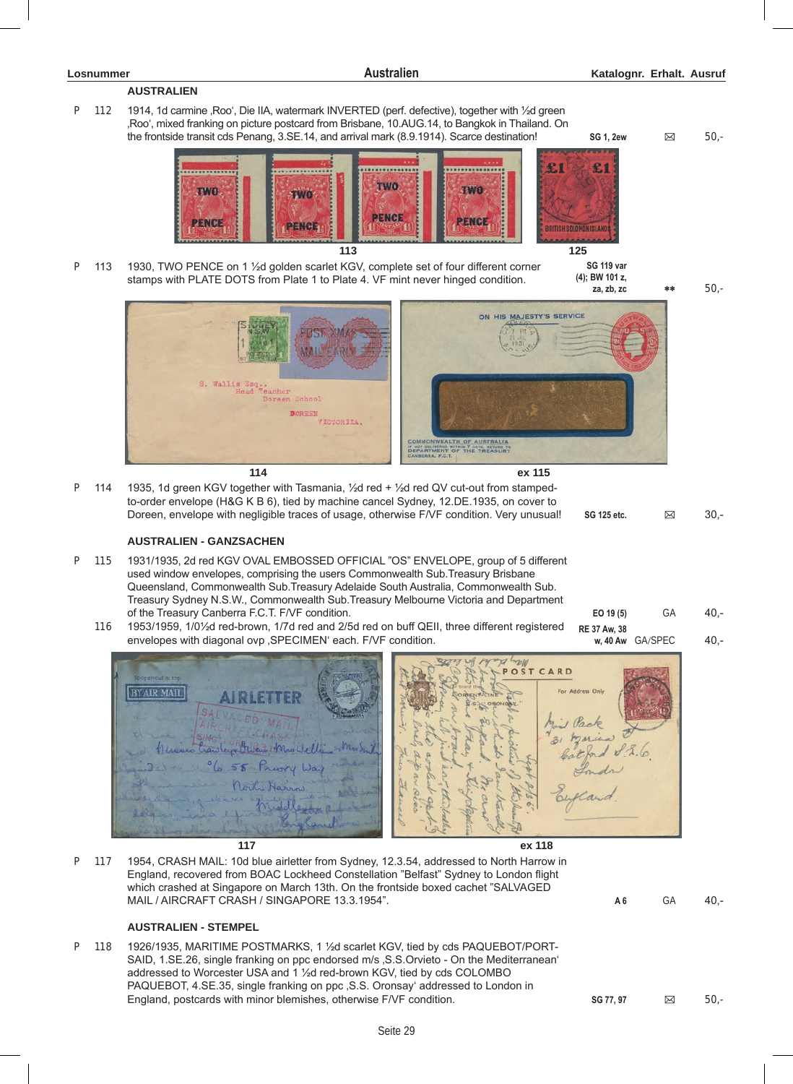## **AUSTRALIEN**

P 112 1914, 1d carmine , Roo', Die IIA, watermark INVERTED (perf. defective), together with 1/2d green 'Roo', mixed franking on picture postcard from Brisbane, 10.AUG.14, to Bangkok in Thailand. On the frontside transit cds Penang, 3.SE.14, and arrival mark (8.9.1914). Scarce destination! **SG 1, 2ew**  $\boxtimes$  50,-



P 113 1930, TWO PENCE on 1 1/<sub>2</sub>d golden scarlet KGV, complete set of four different corner stamps with PLATE DOTS from Plate 1 to Plate 4. VF mint never hinged condition.

**SG 119 var (4); BW 101 z,** 

**za, zb, zc** \*\* 50,-





**114 ex 115** P 114 1935, 1d green KGV together with Tasmania, ½d red + ½d red QV cut-out from stampedto-order envelope (H&G K B 6), tied by machine cancel Sydney, 12.DE.1935, on cover to Doreen, envelope with negligible traces of usage, otherwise F/VF condition. Very unusual! **SG 125 etc. B** 30,-

### **AUSTRALIEN - GANZSACHEN**

- P 115 1931/1935, 2d red KGV OVAL EMBOSSED OFFICIAL "OS" ENVELOPE, group of 5 different used window envelopes, comprising the users Commonwealth Sub.Treasury Brisbane Queensland, Commonwealth Sub.Treasury Adelaide South Australia, Commonwealth Sub. Treasury Sydney N.S.W., Commonwealth Sub.Treasury Melbourne Victoria and Department of the Treasury Canberra F.C.T. F/VF condition. **EO 19 (5)** GA 40,-
	- 116 1953/1959, 1/0½d red-brown, 1/7d red and 2/5d red on buff QEII, three different registered envelopes with diagonal ovp , SPECIMEN' each. F/VF condition. **RE 37 Aw, 38**



P 117 1954, CRASH MAIL: 10d blue airletter from Sydney, 12.3.54, addressed to North Harrow in England, recovered from BOAC Lockheed Constellation "Belfast" Sydney to London flight which crashed at Singapore on March 13th. On the frontside boxed cachet "SALVAGED MAIL / AIRCRAFT CRASH / SINGAPORE 13.3.1954". **A 6** GA 40,-

### **AUSTRALIEN - STEMPEL**

P 118 1926/1935, MARITIME POSTMARKS, 1 ½d scarlet KGV, tied by cds PAQUEBOT/PORT-SAID, 1.SE.26, single franking on ppc endorsed m/s , S.S.Orvieto - On the Mediterranean' addressed to Worcester USA and 1 ½d red-brown KGV, tied by cds COLOMBO PAQUEBOT, 4.SE.35, single franking on ppc ,S.S. Oronsay' addressed to London in England, postcards with minor blemishes, otherwise F/VF condition. **SG 77, 97** B 50,-<br>**SG 77, 97** B 50,-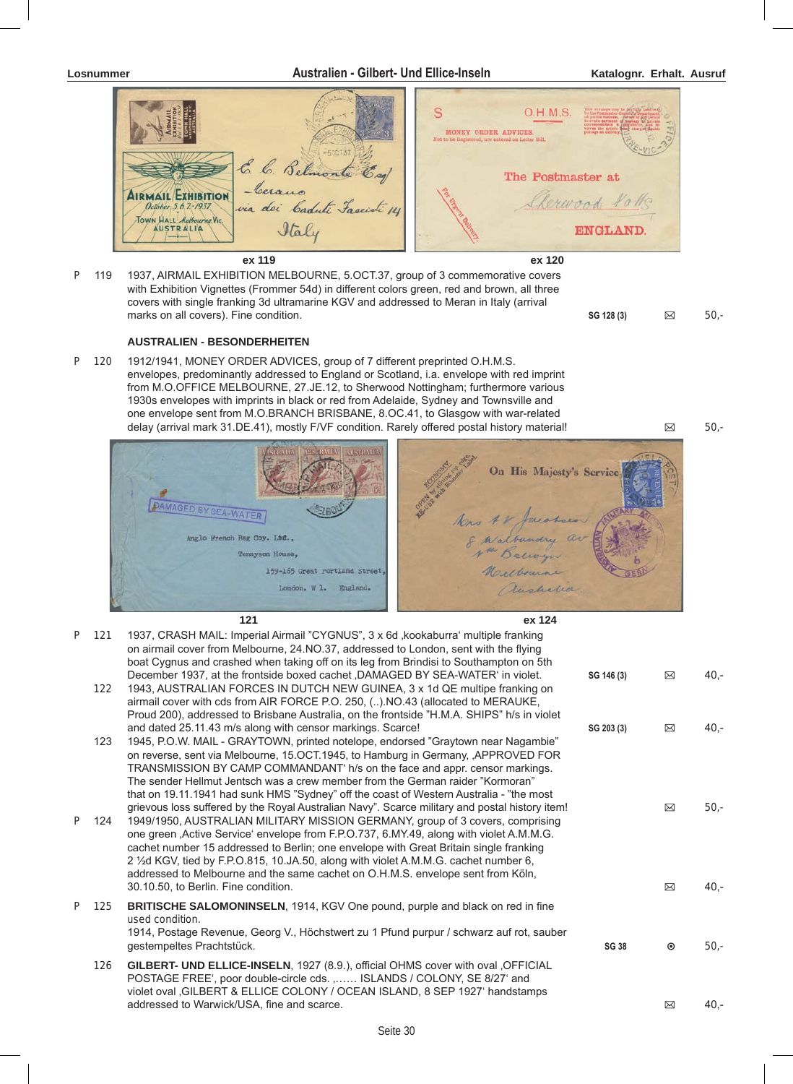

**ex 119 ex 120** P 119 1937, AIRMAIL EXHIBITION MELBOURNE, 5.OCT.37, group of 3 commemorative covers with Exhibition Vignettes (Frommer 54d) in different colors green, red and brown, all three covers with single franking 3d ultramarine KGV and addressed to Meran in Italy (arrival marks on all covers). Fine condition. **SG 128 (3)**  $\boxtimes$  50,-

#### **AUSTRALIEN - BESONDERHEITEN**

P 120 1912/1941, MONEY ORDER ADVICES, group of 7 different preprinted O.H.M.S. envelopes, predominantly addressed to England or Scotland, i.a. envelope with red imprint from M.O.OFFICE MELBOURNE, 27.JE.12, to Sherwood Nottingham; furthermore various 1930s envelopes with imprints in black or red from Adelaide, Sydney and Townsville and one envelope sent from M.O.BRANCH BRISBANE, 8.OC.41, to Glasgow with war-related delay (arrival mark 31.DE.41), mostly F/VF condition. Rarely offered postal history material!  $\boxtimes$  50,-





|   |     | 121                                                                                                                                                                                                                                                                                                                                                                                                                                                                                                                                             | ex 124       |         |         |
|---|-----|-------------------------------------------------------------------------------------------------------------------------------------------------------------------------------------------------------------------------------------------------------------------------------------------------------------------------------------------------------------------------------------------------------------------------------------------------------------------------------------------------------------------------------------------------|--------------|---------|---------|
| P | 121 | 1937, CRASH MAIL: Imperial Airmail "CYGNUS", 3 x 6d , kookaburra' multiple franking<br>on airmail cover from Melbourne, 24.NO.37, addressed to London, sent with the flying<br>boat Cygnus and crashed when taking off on its leg from Brindisi to Southampton on 5th                                                                                                                                                                                                                                                                           |              |         |         |
|   | 122 | December 1937, at the frontside boxed cachet ,DAMAGED BY SEA-WATER' in violet.<br>1943, AUSTRALIAN FORCES IN DUTCH NEW GUINEA, 3 x 1d QE multipe franking on<br>airmail cover with cds from AIR FORCE P.O. 250, () NO.43 (allocated to MERAUKE,<br>Proud 200), addressed to Brisbane Australia, on the frontside "H.M.A. SHIPS" h/s in violet                                                                                                                                                                                                   | SG 146 (3)   | ⊠       | $40. -$ |
|   | 123 | and dated 25.11.43 m/s along with censor markings. Scarce!<br>1945, P.O.W. MAIL - GRAYTOWN, printed notelope, endorsed "Graytown near Nagambie"<br>on reverse, sent via Melbourne, 15.OCT.1945, to Hamburg in Germany, ,APPROVED FOR<br>TRANSMISSION BY CAMP COMMANDANT' h/s on the face and appr. censor markings.<br>The sender Hellmut Jentsch was a crew member from the German raider "Kormoran"<br>that on 19.11.1941 had sunk HMS "Sydney" off the coast of Western Australia - "the most                                                | SG 203 (3)   | ⊠       | $40 -$  |
| P | 124 | grievous loss suffered by the Royal Australian Navy". Scarce military and postal history item!<br>1949/1950, AUSTRALIAN MILITARY MISSION GERMANY, group of 3 covers, comprising<br>one green , Active Service' envelope from F.P.O.737, 6.MY.49, along with violet A.M.M.G.<br>cachet number 15 addressed to Berlin; one envelope with Great Britain single franking<br>2 1/2d KGV, tied by F.P.O.815, 10.JA.50, along with violet A.M.M.G. cachet number 6,<br>addressed to Melbourne and the same cachet on O.H.M.S. envelope sent from Köln, |              | ⊠       | $50 -$  |
|   |     | 30.10.50, to Berlin. Fine condition.                                                                                                                                                                                                                                                                                                                                                                                                                                                                                                            |              | ⊠       | $40 -$  |
| P | 125 | <b>BRITISCHE SALOMONINSELN, 1914, KGV One pound, purple and black on red in fine</b><br>used condition.<br>1914, Postage Revenue, Georg V., Höchstwert zu 1 Pfund purpur / schwarz auf rot, sauber<br>gestempeltes Prachtstück.                                                                                                                                                                                                                                                                                                                 | <b>SG 38</b> | $\odot$ | $50 -$  |
|   | 126 | GILBERT- UND ELLICE-INSELN, 1927 (8.9.), official OHMS cover with oval , OFFICIAL<br>POSTAGE FREE', poor double-circle cds. , ISLANDS / COLONY, SE 8/27' and<br>violet oval , GILBERT & ELLICE COLONY / OCEAN ISLAND, 8 SEP 1927' handstamps                                                                                                                                                                                                                                                                                                    |              |         |         |
|   |     | addressed to Warwick/USA, fine and scarce.                                                                                                                                                                                                                                                                                                                                                                                                                                                                                                      |              | ⊠       | $40 -$  |